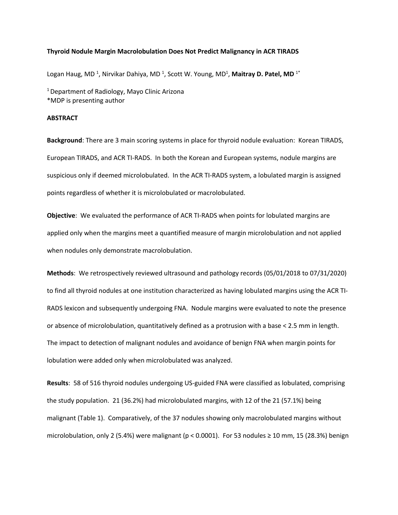## **Thyroid Nodule Margin Macrolobulation Does Not Predict Malignancy in ACR TIRADS**

Logan Haug, MD<sup>1</sup>, Nirvikar Dahiya, MD<sup>1</sup>, Scott W. Young, MD<sup>1</sup>, Maitray D. Patel, MD<sup>1\*</sup>

<sup>1</sup> Department of Radiology, Mayo Clinic Arizona \*MDP is presenting author

## **ABSTRACT**

**Background**: There are 3 main scoring systems in place for thyroid nodule evaluation: Korean TIRADS, European TIRADS, and ACR TI-RADS. In both the Korean and European systems, nodule margins are suspicious only if deemed microlobulated. In the ACR TI-RADS system, a lobulated margin is assigned points regardless of whether it is microlobulated or macrolobulated.

**Objective**: We evaluated the performance of ACR TI-RADS when points for lobulated margins are applied only when the margins meet a quantified measure of margin microlobulation and not applied when nodules only demonstrate macrolobulation.

**Methods**: We retrospectively reviewed ultrasound and pathology records (05/01/2018 to 07/31/2020) to find all thyroid nodules at one institution characterized as having lobulated margins using the ACR TI-RADS lexicon and subsequently undergoing FNA. Nodule margins were evaluated to note the presence or absence of microlobulation, quantitatively defined as a protrusion with a base < 2.5 mm in length. The impact to detection of malignant nodules and avoidance of benign FNA when margin points for lobulation were added only when microlobulated was analyzed.

**Results**: 58 of 516 thyroid nodules undergoing US-guided FNA were classified as lobulated, comprising the study population. 21 (36.2%) had microlobulated margins, with 12 of the 21 (57.1%) being malignant (Table 1). Comparatively, of the 37 nodules showing only macrolobulated margins without microlobulation, only 2 (5.4%) were malignant (p < 0.0001). For 53 nodules  $\geq 10$  mm, 15 (28.3%) benign